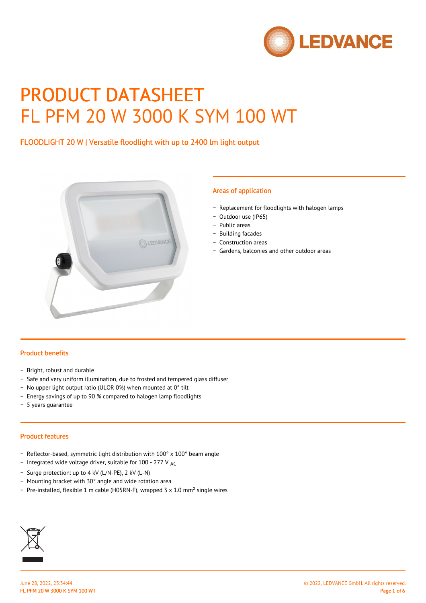

# PRODUCT DATASHEET FL PFM 20 W 3000 K SYM 100 WT

# FLOODLIGHT 20 W | Versatile floodlight with up to 2400 lm light output



#### Areas of application

- − Replacement for floodlights with halogen lamps
- − Outdoor use (IP65)
- − Public areas
- − Building facades
- − Construction areas
- − Gardens, balconies and other outdoor areas

## Product benefits

- − Bright, robust and durable
- − Safe and very uniform illumination, due to frosted and tempered glass diffuser
- − No upper light output ratio (ULOR 0%) when mounted at 0° tilt
- − Energy savings of up to 90 % compared to halogen lamp floodlights
- − 5 years guarantee

#### Product features

- − Reflector-based, symmetric light distribution with 100° x 100° beam angle
- − Integrated wide voltage driver, suitable for 100 277 V AC
- − Surge protection: up to 4 kV (L/N-PE), 2 kV (L-N)
- − Mounting bracket with 30° angle and wide rotation area
- − Pre-installed, flexible 1 m cable (H05RN-F), wrapped 3 x 1.0 mm² single wires

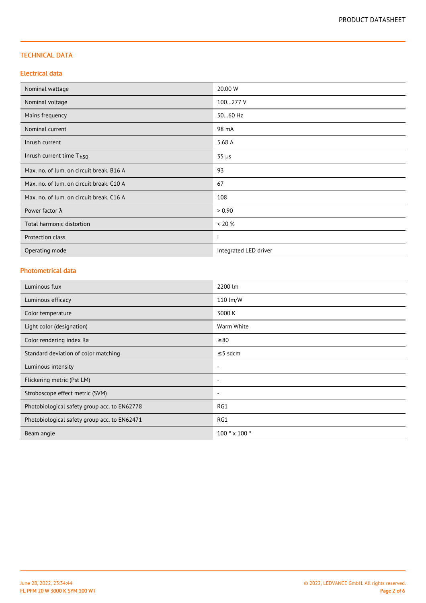## TECHNICAL DATA

## Electrical data

| Nominal wattage                          | 20.00 W               |  |
|------------------------------------------|-----------------------|--|
| Nominal voltage                          | 100277 V              |  |
| Mains frequency                          | 5060 Hz               |  |
| Nominal current                          | 98 mA                 |  |
| Inrush current                           | 5.68 A                |  |
| Inrush current time T <sub>h50</sub>     | $35 \mu s$            |  |
| Max. no. of lum. on circuit break. B16 A | 93                    |  |
| Max. no. of lum. on circuit break. C10 A | 67                    |  |
| Max. no. of lum. on circuit break. C16 A | 108                   |  |
| Power factor $\lambda$                   | > 0.90                |  |
| Total harmonic distortion                | < 20 %                |  |
| Protection class                         |                       |  |
| Operating mode                           | Integrated LED driver |  |

# Photometrical data

| Luminous flux                                | 2200 lm                  |
|----------------------------------------------|--------------------------|
| Luminous efficacy                            | 110 lm/W                 |
| Color temperature                            | 3000 K                   |
| Light color (designation)                    | Warm White               |
| Color rendering index Ra                     | $\geq 80$                |
| Standard deviation of color matching         | $\leq$ 5 sdcm            |
| Luminous intensity                           | $\overline{\phantom{a}}$ |
| Flickering metric (Pst LM)                   | $\overline{\phantom{a}}$ |
| Stroboscope effect metric (SVM)              | $\overline{\phantom{a}}$ |
| Photobiological safety group acc. to EN62778 | RG1                      |
| Photobiological safety group acc. to EN62471 | RG1                      |
| Beam angle                                   | 100 ° x 100 °            |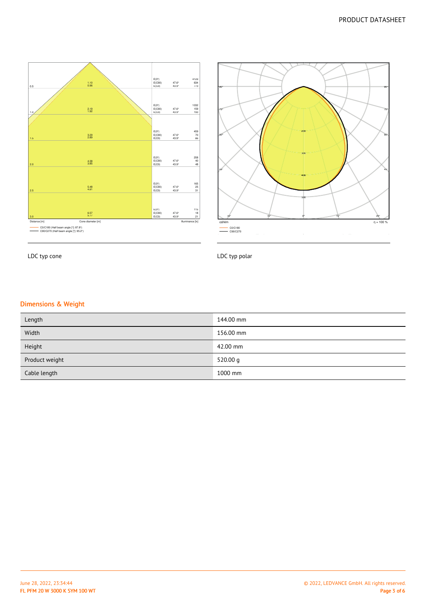



LDC typ cone

LDC typ polar

## Dimensions & Weight

| Length         | 144.00 mm  |
|----------------|------------|
| Width          | 156.00 mm  |
| Height         | 42.00 mm   |
| Product weight | 520.00 $q$ |
| Cable length   | 1000 mm    |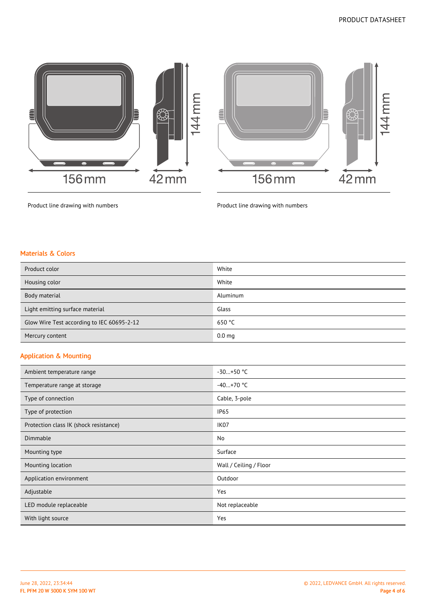$144$  mm



Product line drawing with numbers **Product line drawing with numbers** Product line drawing with numbers

### Materials & Colors

| Product color                              | White             |
|--------------------------------------------|-------------------|
| Housing color                              | White             |
| Body material                              | Aluminum          |
| Light emitting surface material            | Glass             |
| Glow Wire Test according to IEC 60695-2-12 | 650 °C            |
| Mercury content                            | 0.0 <sub>mg</sub> |

## Application & Mounting

| Ambient temperature range              | $-30+50$ °C            |  |
|----------------------------------------|------------------------|--|
| Temperature range at storage           | $-40+70$ °C            |  |
| Type of connection                     | Cable, 3-pole          |  |
| Type of protection                     | <b>IP65</b>            |  |
| Protection class IK (shock resistance) | IK07                   |  |
| Dimmable                               | No                     |  |
| Mounting type                          | Surface                |  |
| Mounting location                      | Wall / Ceiling / Floor |  |
| Application environment                | Outdoor                |  |
| Adjustable                             | Yes                    |  |
| LED module replaceable                 | Not replaceable        |  |
| With light source                      | Yes                    |  |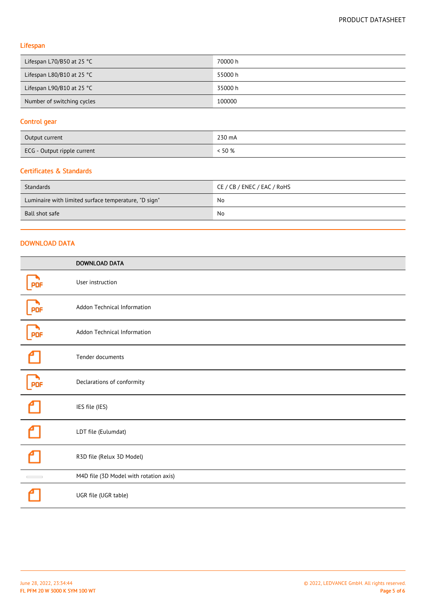# Lifespan

| Lifespan L70/B50 at 25 $^{\circ}$ C | 70000 h |
|-------------------------------------|---------|
| Lifespan L80/B10 at 25 $^{\circ}$ C | 55000 h |
| Lifespan L90/B10 at 25 $^{\circ}$ C | 35000 h |
| Number of switching cycles          | 100000  |

# Control gear

| Output current              | 230 mA |
|-----------------------------|--------|
| ECG - Output ripple current | 50 %   |

#### Certificates & Standards

| Standards                                            | CE / CB / ENEC / EAC / RoHS |
|------------------------------------------------------|-----------------------------|
| Luminaire with limited surface temperature, "D sign" | No                          |
| Ball shot safe                                       | No                          |

## DOWNLOAD DATA

|                            | <b>DOWNLOAD DATA</b>                   |
|----------------------------|----------------------------------------|
|                            | User instruction                       |
| <b>PDF</b>                 | Addon Technical Information            |
| <b>PDF</b>                 | Addon Technical Information            |
|                            | Tender documents                       |
| <b>PDF</b>                 | Declarations of conformity             |
|                            | IES file (IES)                         |
|                            | LDT file (Eulumdat)                    |
|                            | R3D file (Relux 3D Model)              |
| $\mathcal{L}_{\text{max}}$ | M4D file (3D Model with rotation axis) |
|                            | UGR file (UGR table)                   |